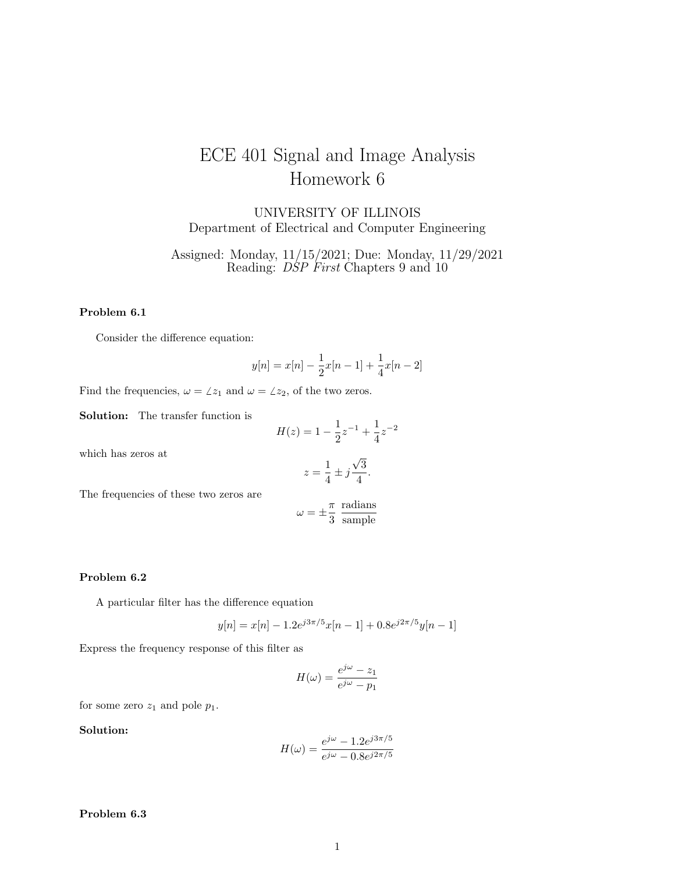# ECE 401 Signal and Image Analysis Homework 6

UNIVERSITY OF ILLINOIS Department of Electrical and Computer Engineering

Assigned: Monday, 11/15/2021; Due: Monday, 11/29/2021 Reading: *DSP First* Chapters 9 and 10

#### Problem 6.1

Consider the difference equation:

$$
y[n] = x[n] - \frac{1}{2}x[n-1] + \frac{1}{4}x[n-2]
$$

Find the frequencies,  $\omega = \angle z_1$  and  $\omega = \angle z_2$ , of the two zeros.

Solution: The transfer function is

$$
H(z) = 1 - \frac{1}{2}z^{-1} + \frac{1}{4}z^{-2}
$$

which has zeros at

$$
z = \frac{1}{4} \pm j\frac{\sqrt{3}}{4}.
$$

The frequencies of these two zeros are

$$
\omega = \pm \frac{\pi}{3} \frac{\text{radians}}{\text{sample}}
$$

#### Problem 6.2

A particular filter has the difference equation

$$
y[n] = x[n] - 1.2e^{j3\pi/5}x[n-1] + 0.8e^{j2\pi/5}y[n-1]
$$

Express the frequency response of this filter as

$$
H(\omega) = \frac{e^{j\omega} - z_1}{e^{j\omega} - p_1}
$$

for some zero  $z_1$  and pole  $p_1$ .

## Solution:

$$
H(\omega) = \frac{e^{j\omega} - 1.2e^{j3\pi/5}}{e^{j\omega} - 0.8e^{j2\pi/5}}
$$

Problem 6.3